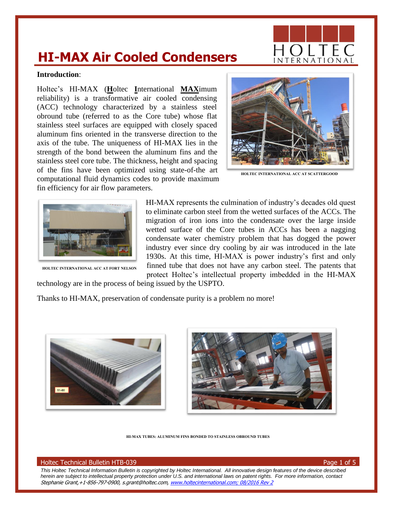# **HI-MAX Air Cooled Condensers**

# **Introduction**:

Holtec's HI-MAX (**H**oltec **I**nternational **MAX**imum reliability) is a transformative air cooled condensing (ACC) technology characterized by a stainless steel obround tube (referred to as the Core tube) whose flat stainless steel surfaces are equipped with closely spaced aluminum fins oriented in the transverse direction to the axis of the tube. The uniqueness of HI-MAX lies in the strength of the bond between the aluminum fins and the stainless steel core tube. The thickness, height and spacing of the fins have been optimized using state-of-the art computational fluid dynamics codes to provide maximum fin efficiency for air flow parameters.



**HOLTEC INTERNATIONAL ACC AT SCATTERGOOD**



**HOLTEC INTERNATIONAL ACC AT FORT NELSON**

HI-MAX represents the culmination of industry's decades old quest to eliminate carbon steel from the wetted surfaces of the ACCs. The migration of iron ions into the condensate over the large inside wetted surface of the Core tubes in ACCs has been a nagging condensate water chemistry problem that has dogged the power industry ever since dry cooling by air was introduced in the late 1930s. At this time, HI-MAX is power industry's first and only finned tube that does not have any carbon steel. The patents that protect Holtec's intellectual property imbedded in the HI-MAX

technology are in the process of being issued by the USPTO.

Thanks to HI-MAX, preservation of condensate purity is a problem no more!





**HI-MAX TUBES: ALUMINUM FINS BONDED TO STAINLESS OBROUND TUBES** 

#### Holtec Technical Bulletin HTB-039 Page 1 of 5

*This Holtec Technical Information Bulletin is copyrighted by Holtec International. All innovative design features of the device described herein are subject to intellectual property protection under U.S. and international laws on patent rights. For more information, contact*  Stephanie Grant,+1-856-797-0900, s.grant@holtec.com, [www.holtecinternational.com;](http://www.holtecinternational.com/) 08/2016 Rev 2

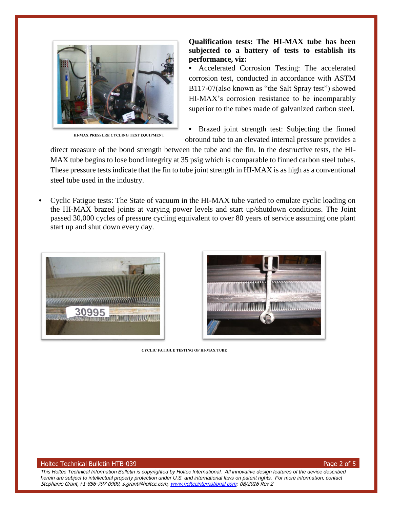

**HI-MAX PRESSURE CYCLING TEST EQUIPMENT** 

# **Qualification tests: The HI-MAX tube has been subjected to a battery of tests to establish its performance, viz:**

**•** Accelerated Corrosion Testing: The accelerated corrosion test, conducted in accordance with ASTM B117-07(also known as "the Salt Spray test") showed HI-MAX's corrosion resistance to be incomparably superior to the tubes made of galvanized carbon steel.

**•** Brazed joint strength test: Subjecting the finned obround tube to an elevated internal pressure provides a

direct measure of the bond strength between the tube and the fin. In the destructive tests, the HI-MAX tube begins to lose bond integrity at 35 psig which is comparable to finned carbon steel tubes. These pressure tests indicate that the fin to tube joint strength in HI-MAX is as high as a conventional steel tube used in the industry.

**•** Cyclic Fatigue tests: The State of vacuum in the HI-MAX tube varied to emulate cyclic loading on the HI-MAX brazed joints at varying power levels and start up/shutdown conditions. The Joint passed 30,000 cycles of pressure cycling equivalent to over 80 years of service assuming one plant start up and shut down every day.





**CYCLIC FATIGUE TESTING OF HI-MAX TUBE**

#### Holtec Technical Bulletin HTB-039 Page 2 of 5

*This Holtec Technical Information Bulletin is copyrighted by Holtec International. All innovative design features of the device described herein are subject to intellectual property protection under U.S. and international laws on patent rights. For more information, contact*  Stephanie Grant,+1-856-797-0900, s.grant@holtec.com, [www.holtecinternational.com;](http://www.holtecinternational.com/) 08/2016 Rev 2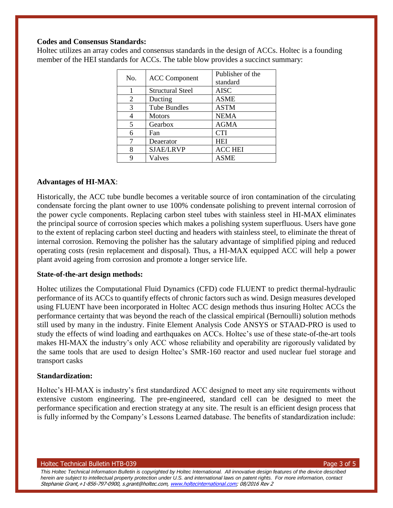# **Codes and Consensus Standards:**

Holtec utilizes an array codes and consensus standards in the design of ACCs. Holtec is a founding member of the HEI standards for ACCs. The table blow provides a succinct summary:

| No. | <b>ACC Component</b>    | Publisher of the<br>standard |
|-----|-------------------------|------------------------------|
|     | <b>Structural Steel</b> | <b>AISC</b>                  |
| 2   | Ducting                 | <b>ASME</b>                  |
| 3   | <b>Tube Bundles</b>     | <b>ASTM</b>                  |
| 4   | <b>Motors</b>           | <b>NEMA</b>                  |
| 5   | Gearbox                 | <b>AGMA</b>                  |
| 6   | Fan                     | <b>CTI</b>                   |
| 7   | Deaerator               | <b>HEI</b>                   |
| 8   | <b>SJAE/LRVP</b>        | <b>ACC HEI</b>               |
| 9   | Valves                  | <b>ASME</b>                  |

### **Advantages of HI-MAX**:

Historically, the ACC tube bundle becomes a veritable source of iron contamination of the circulating condensate forcing the plant owner to use 100% condensate polishing to prevent internal corrosion of the power cycle components. Replacing carbon steel tubes with stainless steel in HI-MAX eliminates the principal source of corrosion species which makes a polishing system superfluous. Users have gone to the extent of replacing carbon steel ducting and headers with stainless steel, to eliminate the threat of internal corrosion. Removing the polisher has the salutary advantage of simplified piping and reduced operating costs (resin replacement and disposal). Thus, a HI-MAX equipped ACC will help a power plant avoid ageing from corrosion and promote a longer service life.

#### **State-of-the-art design methods:**

Holtec utilizes the Computational Fluid Dynamics (CFD) code FLUENT to predict thermal-hydraulic performance of its ACCs to quantify effects of chronic factors such as wind. Design measures developed using FLUENT have been incorporated in Holtec ACC design methods thus insuring Holtec ACCs the performance certainty that was beyond the reach of the classical empirical (Bernoulli) solution methods still used by many in the industry. Finite Element Analysis Code ANSYS or STAAD-PRO is used to study the effects of wind loading and earthquakes on ACCs. Holtec's use of these state-of-the-art tools makes HI-MAX the industry's only ACC whose reliability and operability are rigorously validated by the same tools that are used to design Holtec's SMR-160 reactor and used nuclear fuel storage and transport casks

# **Standardization:**

Holtec's HI-MAX is industry's first standardized ACC designed to meet any site requirements without extensive custom engineering. The pre-engineered, standard cell can be designed to meet the performance specification and erection strategy at any site. The result is an efficient design process that is fully informed by the Company's Lessons Learned database. The benefits of standardization include:

#### Holtec Technical Bulletin HTB-039 Page 3 of 5

*This Holtec Technical Information Bulletin is copyrighted by Holtec International. All innovative design features of the device described herein are subject to intellectual property protection under U.S. and international laws on patent rights. For more information, contact*  Stephanie Grant, +1-856-797-0900, s.grant@holtec.com, [www.holtecinternational.com;](http://www.holtecinternational.com/) 08/2016 Rev 2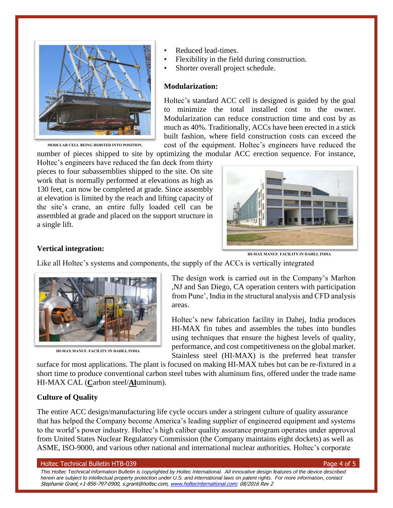

**MODULAR CELL BEING HOISTED INTO POSITION.**

- Reduced lead-times.
- Flexibility in the field during construction.
- Shorter overall project schedule.

#### **Modularization:**

Holtec's standard ACC cell is designed is guided by the goal to minimize the total installed cost to the owner. Modularization can reduce construction time and cost by as much as 40%. Traditionally, ACCs have been erected in a stick built fashion, where field construction costs can exceed the cost of the equipment. Holtec's engineers have reduced the

number of pieces shipped to site by optimizing the modular ACC erection sequence. For instance,

Holtec's engineers have reduced the fan deck from thirty pieces to four subassemblies shipped to the site. On site work that is normally performed at elevations as high as 130 feet, can now be completed at grade. Since assembly at elevation is limited by the reach and lifting capacity of the site's crane, an entire fully loaded cell can be assembled at grade and placed on the support structure in a single lift.



**HI-MAX MANUF. FACILITY IN DAHEJ, INDIA**

Like all Holtec's systems and components, the supply of the ACCs is vertically integrated



**HI-MAX MANUF. FACILITY IN DAHEJ, INDIA**

The design work is carried out in the Company's Marlton ,NJ and San Diego, CA operation centers with participation from Pune', India in the structural analysis and CFD analysis areas.

Holtec's new fabrication facility in Dahej, India produces HI-MAX fin tubes and assembles the tubes into bundles using techniques that ensure the highest levels of quality, performance, and cost competitiveness on the global market. Stainless steel (HI-MAX) is the preferred heat transfer

surface for most applications. The plant is focused on making HI-MAX tubes but can be re-fixtured in a short time to produce conventional carbon steel tubes with aluminum fins, offered under the trade name HI-MAX CAL (**C**arbon steel/**Al**uminum).

## **Culture of Quality**

**Vertical integration:**

The entire ACC design/manufacturing life cycle occurs under a stringent culture of quality assurance that has helped the Company become America's leading supplier of engineered equipment and systems to the world's power industry. Holtec's high caliber quality assurance program operates under approval from United States Nuclear Regulatory Commission (the Company maintains eight dockets) as well as ASME, ISO-9000, and various other national and international nuclear authorities. Holtec's corporate

#### Holtec Technical Bulletin HTB-039 Page 4 of 5

*This Holtec Technical Information Bulletin is copyrighted by Holtec International. All innovative design features of the device described herein are subject to intellectual property protection under U.S. and international laws on patent rights. For more information, contact*  Stephanie Grant,+1-856-797-0900, s.grant@holtec.com, [www.holtecinternational.com;](http://www.holtecinternational.com/) 08/2016 Rev 2